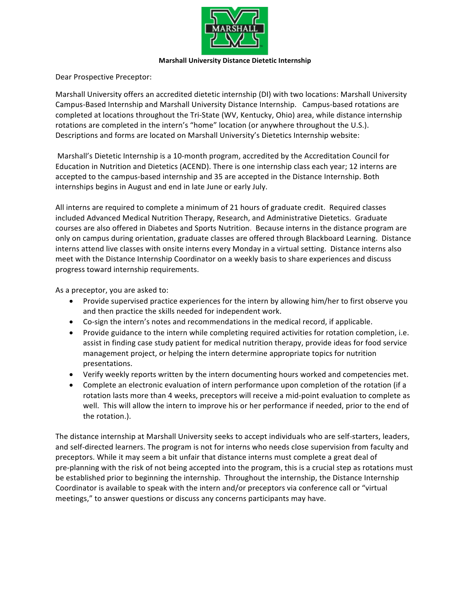

## **Marshall University Distance Dietetic Internship**

Dear Prospective Preceptor:

Marshall University offers an accredited dietetic internship (DI) with two locations: Marshall University Campus-Based Internship and Marshall University Distance Internship. Campus-based rotations are completed at locations throughout the Tri-State (WV, Kentucky, Ohio) area, while distance internship rotations are completed in the intern's "home" location (or anywhere throughout the U.S.). Descriptions and forms are located on Marshall University's Dietetics Internship website:

Marshall's Dietetic Internship is a 10-month program, accredited by the Accreditation Council for Education in Nutrition and Dietetics (ACEND). There is one internship class each year; 12 interns are accepted to the campus-based internship and 35 are accepted in the Distance Internship. Both internships begins in August and end in late June or early July.

All interns are required to complete a minimum of 21 hours of graduate credit. Required classes included Advanced Medical Nutrition Therapy, Research, and Administrative Dietetics. Graduate courses are also offered in Diabetes and Sports Nutrition. Because interns in the distance program are only on campus during orientation, graduate classes are offered through Blackboard Learning. Distance interns attend live classes with onsite interns every Monday in a virtual setting. Distance interns also meet with the Distance Internship Coordinator on a weekly basis to share experiences and discuss progress toward internship requirements.

As a preceptor, you are asked to:

- Provide supervised practice experiences for the intern by allowing him/her to first observe you and then practice the skills needed for independent work.
- Co-sign the intern's notes and recommendations in the medical record, if applicable.
- Provide guidance to the intern while completing required activities for rotation completion, i.e. assist in finding case study patient for medical nutrition therapy, provide ideas for food service management project, or helping the intern determine appropriate topics for nutrition presentations.
- Verify weekly reports written by the intern documenting hours worked and competencies met.
- Complete an electronic evaluation of intern performance upon completion of the rotation (if a rotation lasts more than 4 weeks, preceptors will receive a mid-point evaluation to complete as well. This will allow the intern to improve his or her performance if needed, prior to the end of the rotation.).

The distance internship at Marshall University seeks to accept individuals who are self-starters, leaders, and self-directed learners. The program is not for interns who needs close supervision from faculty and preceptors. While it may seem a bit unfair that distance interns must complete a great deal of pre-planning with the risk of not being accepted into the program, this is a crucial step as rotations must be established prior to beginning the internship. Throughout the internship, the Distance Internship Coordinator is available to speak with the intern and/or preceptors via conference call or "virtual meetings," to answer questions or discuss any concerns participants may have.